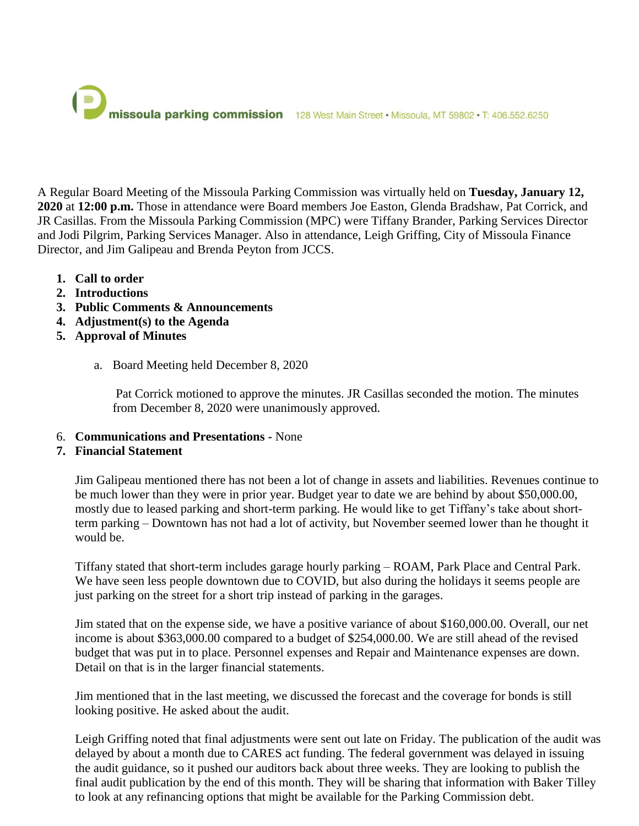

A Regular Board Meeting of the Missoula Parking Commission was virtually held on **Tuesday, January 12, 2020** at **12:00 p.m.** Those in attendance were Board members Joe Easton, Glenda Bradshaw, Pat Corrick, and JR Casillas. From the Missoula Parking Commission (MPC) were Tiffany Brander, Parking Services Director and Jodi Pilgrim, Parking Services Manager. Also in attendance, Leigh Griffing, City of Missoula Finance Director, and Jim Galipeau and Brenda Peyton from JCCS.

- **1. Call to order**
- **2. Introductions**
- **3. Public Comments & Announcements**
- **4. Adjustment(s) to the Agenda**
- **5. Approval of Minutes**
	- a. Board Meeting held December 8, 2020

Pat Corrick motioned to approve the minutes. JR Casillas seconded the motion. The minutes from December 8, 2020 were unanimously approved.

- 6. **Communications and Presentations -** None
- **7. Financial Statement**

Jim Galipeau mentioned there has not been a lot of change in assets and liabilities. Revenues continue to be much lower than they were in prior year. Budget year to date we are behind by about \$50,000.00, mostly due to leased parking and short-term parking. He would like to get Tiffany's take about shortterm parking – Downtown has not had a lot of activity, but November seemed lower than he thought it would be.

Tiffany stated that short-term includes garage hourly parking – ROAM, Park Place and Central Park. We have seen less people downtown due to COVID, but also during the holidays it seems people are just parking on the street for a short trip instead of parking in the garages.

Jim stated that on the expense side, we have a positive variance of about \$160,000.00. Overall, our net income is about \$363,000.00 compared to a budget of \$254,000.00. We are still ahead of the revised budget that was put in to place. Personnel expenses and Repair and Maintenance expenses are down. Detail on that is in the larger financial statements.

Jim mentioned that in the last meeting, we discussed the forecast and the coverage for bonds is still looking positive. He asked about the audit.

Leigh Griffing noted that final adjustments were sent out late on Friday. The publication of the audit was delayed by about a month due to CARES act funding. The federal government was delayed in issuing the audit guidance, so it pushed our auditors back about three weeks. They are looking to publish the final audit publication by the end of this month. They will be sharing that information with Baker Tilley to look at any refinancing options that might be available for the Parking Commission debt.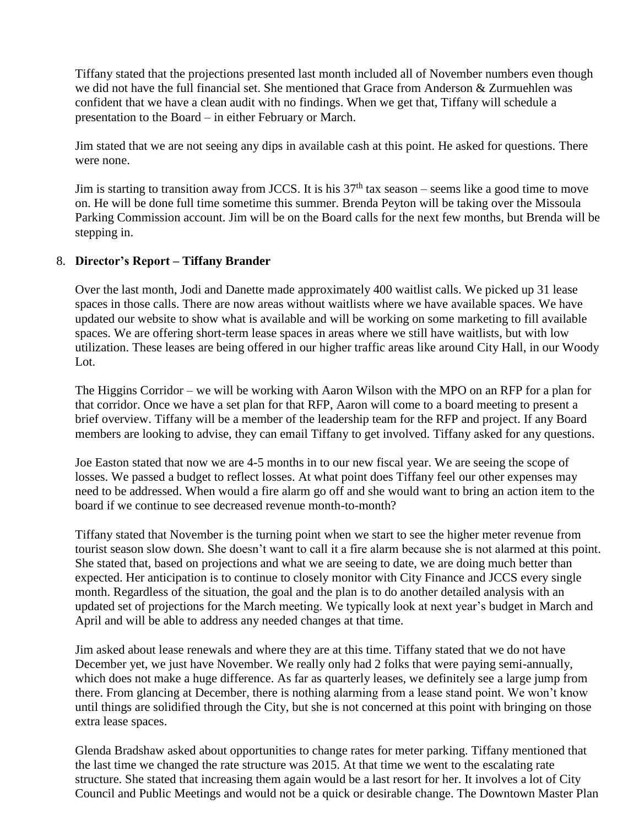Tiffany stated that the projections presented last month included all of November numbers even though we did not have the full financial set. She mentioned that Grace from Anderson & Zurmuehlen was confident that we have a clean audit with no findings. When we get that, Tiffany will schedule a presentation to the Board – in either February or March.

Jim stated that we are not seeing any dips in available cash at this point. He asked for questions. There were none.

Jim is starting to transition away from JCCS. It is his  $37<sup>th</sup>$  tax season – seems like a good time to move on. He will be done full time sometime this summer. Brenda Peyton will be taking over the Missoula Parking Commission account. Jim will be on the Board calls for the next few months, but Brenda will be stepping in.

# 8. **Director's Report – Tiffany Brander**

Over the last month, Jodi and Danette made approximately 400 waitlist calls. We picked up 31 lease spaces in those calls. There are now areas without waitlists where we have available spaces. We have updated our website to show what is available and will be working on some marketing to fill available spaces. We are offering short-term lease spaces in areas where we still have waitlists, but with low utilization. These leases are being offered in our higher traffic areas like around City Hall, in our Woody Lot.

The Higgins Corridor – we will be working with Aaron Wilson with the MPO on an RFP for a plan for that corridor. Once we have a set plan for that RFP, Aaron will come to a board meeting to present a brief overview. Tiffany will be a member of the leadership team for the RFP and project. If any Board members are looking to advise, they can email Tiffany to get involved. Tiffany asked for any questions.

Joe Easton stated that now we are 4-5 months in to our new fiscal year. We are seeing the scope of losses. We passed a budget to reflect losses. At what point does Tiffany feel our other expenses may need to be addressed. When would a fire alarm go off and she would want to bring an action item to the board if we continue to see decreased revenue month-to-month?

Tiffany stated that November is the turning point when we start to see the higher meter revenue from tourist season slow down. She doesn't want to call it a fire alarm because she is not alarmed at this point. She stated that, based on projections and what we are seeing to date, we are doing much better than expected. Her anticipation is to continue to closely monitor with City Finance and JCCS every single month. Regardless of the situation, the goal and the plan is to do another detailed analysis with an updated set of projections for the March meeting. We typically look at next year's budget in March and April and will be able to address any needed changes at that time.

Jim asked about lease renewals and where they are at this time. Tiffany stated that we do not have December yet, we just have November. We really only had 2 folks that were paying semi-annually, which does not make a huge difference. As far as quarterly leases, we definitely see a large jump from there. From glancing at December, there is nothing alarming from a lease stand point. We won't know until things are solidified through the City, but she is not concerned at this point with bringing on those extra lease spaces.

Glenda Bradshaw asked about opportunities to change rates for meter parking. Tiffany mentioned that the last time we changed the rate structure was 2015. At that time we went to the escalating rate structure. She stated that increasing them again would be a last resort for her. It involves a lot of City Council and Public Meetings and would not be a quick or desirable change. The Downtown Master Plan